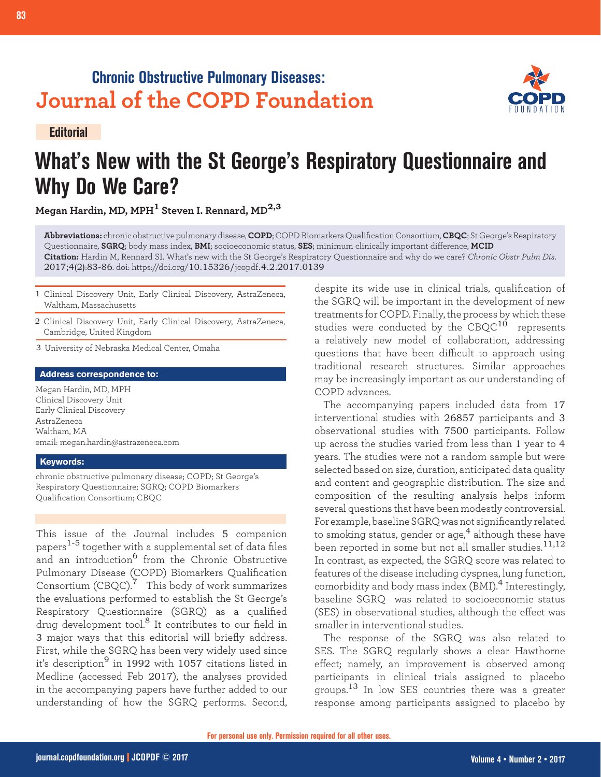## **Chronic Obstructive Pulmonary Diseases: Journal of the COPD Foundation**

**Editorial**



# **What's New with the St George's Respiratory Questionnaire and Why Do We Care?**

**Megan Hardin, MD, MPH1 Steven I. Rennard, MD2,3**

**Abbreviations:** chronic obstructive pulmonary disease, **COPD**; COPD Biomarkers Qualification Consortium, **CBQC**; St George's Respiratory Questionnaire, **SGRQ**; body mass index, **BMI**; socioeconomic status, **SES**; minimum clinically important difference, **MCID Citation:** Hardin M, Rennard SI. What's new with the St George's Respiratory Questionnaire and why do we care? *Chronic Obstr Pulm Dis*. 2017;4(2):83-86. doi: https://doi.org/10.15326/jcopdf.4.2.2017.0139

- 1 Clinical Discovery Unit, Early Clinical Discovery, AstraZeneca, Waltham, Massachusetts
- 2 Clinical Discovery Unit, Early Clinical Discovery, AstraZeneca, Cambridge, United Kingdom
- 3 University of Nebraska Medical Center, Omaha

#### **Address correspondence to:**

Megan Hardin, MD, MPH Clinical Discovery Unit Early Clinical Discovery AstraZeneca Waltham, MA email: megan.hardin@astrazeneca.com

#### **Keywords:**

chronic obstructive pulmonary disease; COPD; St George's Respiratory Questionnaire; SGRQ; COPD Biomarkers Qualification Consortium; CBQC

This issue of the Journal includes 5 companion papers $^{1-5}$  together with a supplemental set of data files and an introduction<sup>6</sup> from the Chronic Obstructive Pulmonary Disease (COPD) Biomarkers Qualification Consortium  $(CBQC)$ .<sup>7</sup> This body of work summarizes the evaluations performed to establish the St George's Respiratory Questionnaire (SGRQ) as a qualified drug development tool.<sup>8</sup> It contributes to our field in 3 major ways that this editorial will briefly address. First, while the SGRQ has been very widely used since it's description<sup>9</sup> in 1992 with 1057 citations listed in Medline (accessed Feb 2017), the analyses provided in the accompanying papers have further added to our understanding of how the SGRQ performs. Second, despite its wide use in clinical trials, qualification of the SGRQ will be important in the development of new treatments for COPD. Finally, the process by which these studies were conducted by the  $CBC^{10}$  represents a relatively new model of collaboration, addressing questions that have been difficult to approach using traditional research structures. Similar approaches may be increasingly important as our understanding of COPD advances.

The accompanying papers included data from 17 interventional studies with 26857 participants and 3 observational studies with 7500 participants. Follow up across the studies varied from less than 1 year to 4 years. The studies were not a random sample but were selected based on size, duration, anticipated data quality and content and geographic distribution. The size and composition of the resulting analysis helps inform several questions that have been modestly controversial. For example, baseline SGRQ was not significantly related to smoking status, gender or age,<sup>4</sup> although these have been reported in some but not all smaller studies.<sup>11,12</sup> In contrast, as expected, the SGRQ score was related to features of the disease including dyspnea, lung function, comorbidity and body mass index  $(BMI)^4$  Interestingly, baseline SGRQ was related to socioeconomic status (SES) in observational studies, although the effect was smaller in interventional studies.

The response of the SGRQ was also related to SES. The SGRQ regularly shows a clear Hawthorne effect; namely, an improvement is observed among participants in clinical trials assigned to placebo groups.<sup>13</sup> In low SES countries there was a greater response among participants assigned to placebo by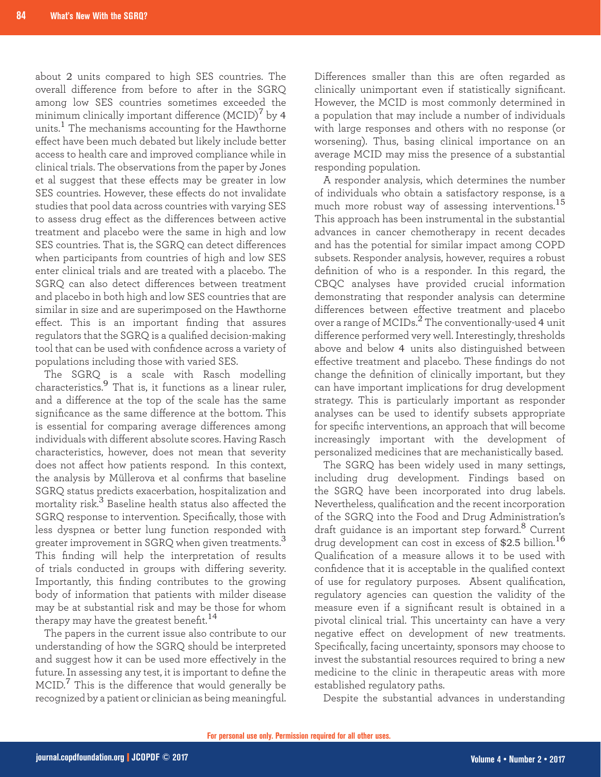about 2 units compared to high SES countries. The overall difference from before to after in the SGRQ among low SES countries sometimes exceeded the minimum clinically important difference  $(MCID)^{7}$  by 4 units.<sup>1</sup> The mechanisms accounting for the Hawthorne effect have been much debated but likely include better access to health care and improved compliance while in clinical trials. The observations from the paper by Jones et al suggest that these effects may be greater in low SES countries. However, these effects do not invalidate studies that pool data across countries with varying SES to assess drug effect as the differences between active treatment and placebo were the same in high and low SES countries. That is, the SGRQ can detect differences when participants from countries of high and low SES enter clinical trials and are treated with a placebo. The SGRQ can also detect differences between treatment and placebo in both high and low SES countries that are similar in size and are superimposed on the Hawthorne effect. This is an important finding that assures regulators that the SGRQ is a qualified decision-making tool that can be used with confidence across a variety of populations including those with varied SES.

The SGRQ is a scale with Rasch modelling characteristics.9 That is, it functions as a linear ruler, and a difference at the top of the scale has the same significance as the same difference at the bottom. This is essential for comparing average differences among individuals with different absolute scores. Having Rasch characteristics, however, does not mean that severity does not affect how patients respond. In this context, the analysis by Müllerova et al confirms that baseline SGRQ status predicts exacerbation, hospitalization and mortality risk.3 Baseline health status also affected the SGRQ response to intervention. Specifically, those with less dyspnea or better lung function responded with greater improvement in SGRQ when given treatments.<sup>3</sup> This finding will help the interpretation of results of trials conducted in groups with differing severity. Importantly, this finding contributes to the growing body of information that patients with milder disease may be at substantial risk and may be those for whom therapy may have the greatest benefit.<sup>14</sup>

The papers in the current issue also contribute to our understanding of how the SGRQ should be interpreted and suggest how it can be used more effectively in the future. In assessing any test, it is important to define the  $MCID.<sup>7</sup>$  This is the difference that would generally be recognized by a patient or clinician as being meaningful. Differences smaller than this are often regarded as clinically unimportant even if statistically significant. However, the MCID is most commonly determined in a population that may include a number of individuals with large responses and others with no response (or worsening). Thus, basing clinical importance on an average MCID may miss the presence of a substantial responding population.

A responder analysis, which determines the number of individuals who obtain a satisfactory response, is a much more robust way of assessing interventions.<sup>15</sup> This approach has been instrumental in the substantial advances in cancer chemotherapy in recent decades and has the potential for similar impact among COPD subsets. Responder analysis, however, requires a robust definition of who is a responder. In this regard, the CBQC analyses have provided crucial information demonstrating that responder analysis can determine differences between effective treatment and placebo over a range of MCIDs.<sup>2</sup> The conventionally-used 4 unit difference performed very well. Interestingly, thresholds above and below 4 units also distinguished between effective treatment and placebo. These findings do not change the definition of clinically important, but they can have important implications for drug development strategy. This is particularly important as responder analyses can be used to identify subsets appropriate for specific interventions, an approach that will become increasingly important with the development of personalized medicines that are mechanistically based.

The SGRQ has been widely used in many settings, including drug development. Findings based on the SGRQ have been incorporated into drug labels. Nevertheless, qualification and the recent incorporation of the SGRQ into the Food and Drug Administration's draft guidance is an important step forward.<sup>8</sup> Current drug development can cost in excess of \$2.5 billion.<sup>16</sup> Qualification of a measure allows it to be used with confidence that it is acceptable in the qualified context of use for regulatory purposes. Absent qualification, regulatory agencies can question the validity of the measure even if a significant result is obtained in a pivotal clinical trial. This uncertainty can have a very negative effect on development of new treatments. Specifically, facing uncertainty, sponsors may choose to invest the substantial resources required to bring a new medicine to the clinic in therapeutic areas with more established regulatory paths.

Despite the substantial advances in understanding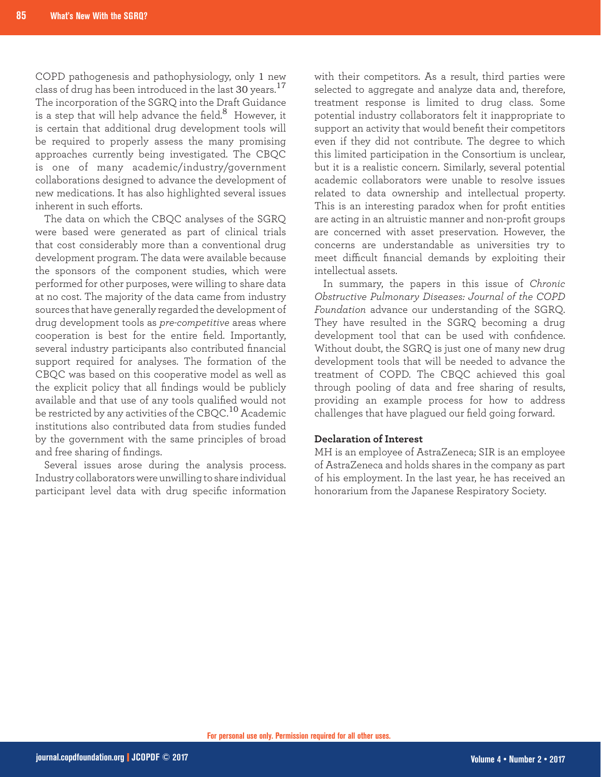COPD pathogenesis and pathophysiology, only 1 new class of drug has been introduced in the last 30 years.<sup>17</sup> The incorporation of the SGRQ into the Draft Guidance is a step that will help advance the field. $8$  However, it is certain that additional drug development tools will be required to properly assess the many promising approaches currently being investigated. The CBQC is one of many academic/industry/government collaborations designed to advance the development of new medications. It has also highlighted several issues inherent in such efforts.

The data on which the CBQC analyses of the SGRQ were based were generated as part of clinical trials that cost considerably more than a conventional drug development program. The data were available because the sponsors of the component studies, which were performed for other purposes, were willing to share data at no cost. The majority of the data came from industry sources that have generally regarded the development of drug development tools as *pre-competitive* areas where cooperation is best for the entire field. Importantly, several industry participants also contributed financial support required for analyses. The formation of the CBQC was based on this cooperative model as well as the explicit policy that all findings would be publicly available and that use of any tools qualified would not be restricted by any activities of the CBQC.<sup>10</sup> Academic institutions also contributed data from studies funded by the government with the same principles of broad and free sharing of findings.

Several issues arose during the analysis process. Industry collaborators were unwilling to share individual participant level data with drug specific information with their competitors. As a result, third parties were selected to aggregate and analyze data and, therefore, treatment response is limited to drug class. Some potential industry collaborators felt it inappropriate to support an activity that would benefit their competitors even if they did not contribute. The degree to which this limited participation in the Consortium is unclear, but it is a realistic concern. Similarly, several potential academic collaborators were unable to resolve issues related to data ownership and intellectual property. This is an interesting paradox when for profit entities are acting in an altruistic manner and non-profit groups are concerned with asset preservation. However, the concerns are understandable as universities try to meet difficult financial demands by exploiting their intellectual assets.

In summary, the papers in this issue of *Chronic Obstructive Pulmonary Diseases: Journal of the COPD Foundation* advance our understanding of the SGRQ. They have resulted in the SGRQ becoming a drug development tool that can be used with confidence. Without doubt, the SGRQ is just one of many new drug development tools that will be needed to advance the treatment of COPD. The CBQC achieved this goal through pooling of data and free sharing of results, providing an example process for how to address challenges that have plagued our field going forward.

#### **Declaration of Interest**

MH is an employee of AstraZeneca; SIR is an employee of AstraZeneca and holds shares in the company as part of his employment. In the last year, he has received an honorarium from the Japanese Respiratory Society.